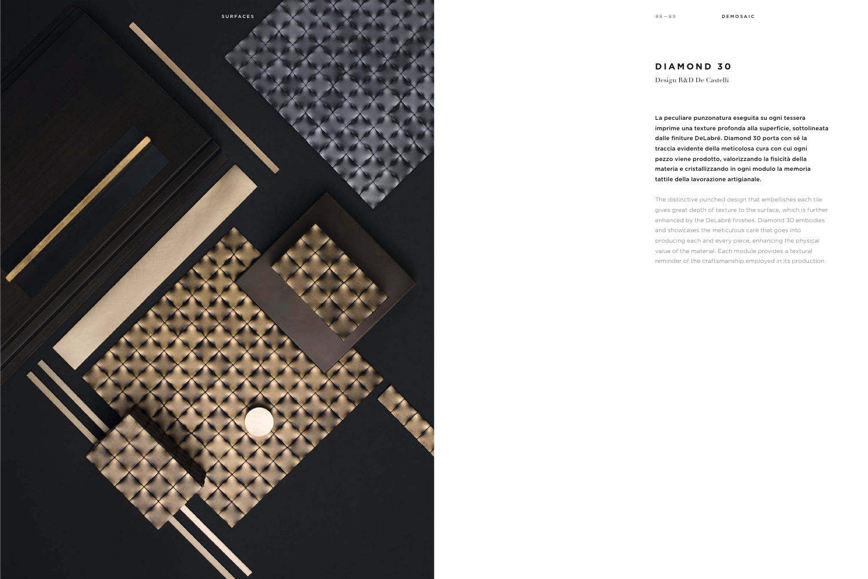

La peculiare punzonatura eseguita su ogni tessera imprime una texture profonda alla superficie, sottolineata dalle finiture DeLabré. Diamond 30 porta con sé la traccia evidente della meticolosa cura con cui ogni pezzo viene prodotto, valorizzando la fisicità della materia e cristallizzando in ogni modulo la memoria tattile della lavorazione artigianale.

The distinctive punched design that embellishes each tile gives great depth of texture to the surface, which is further enhanced by the DeLabré finishes. Diamond 30 embodies and showcases the meticulous care that goes into producing each and every piece, enhancing the physical value of the material. Each module provides a textural reminder of the craftsmanship employed in its production.

## **DIAMOND 30**

Design R&D De Castelli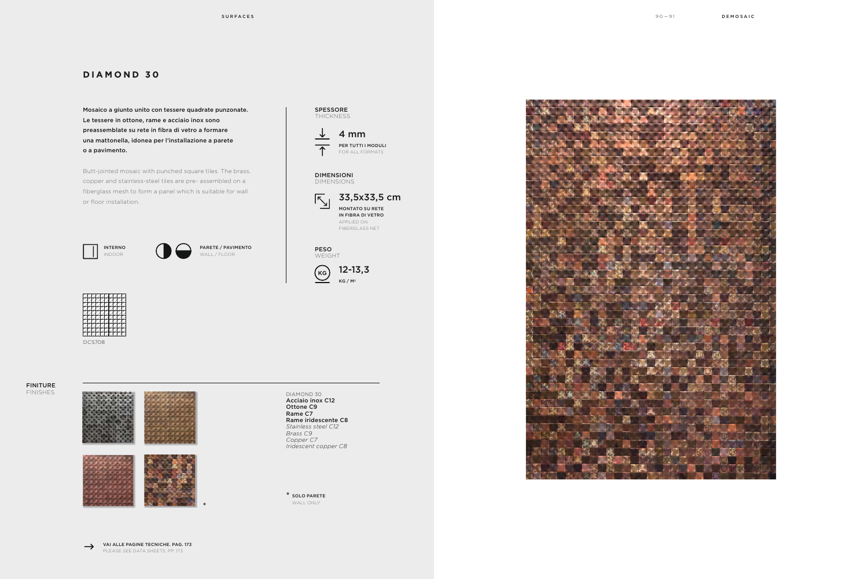## **DIAMOND 30**

Butt-jointed mosaic with punched square tiles. The brass, copper and stainless-steel tiles are pre- assembled on a fiberglass mesh to form a panel which is suitable for wall or floor installation.  $\sqrt{33.5x33.5 \text{ cm}}$ 

Mosaico a giunto unito con tessere quadrate punzonate. Le tessere in ottone, rame e acciaio inox sono preassemblate su rete in fibra di vetro a formare una mattonella, idonea per l'installazione a parete o a pavimento.

> 12-13,3  $KG / M<sup>2</sup>$

VAI ALLE PAGINE TECNICHE. PAG. 173 PLEASE SEE DATA SHEETS. PP. 173

SPESSORE THICKNESS

 $\downarrow$ 





DIMENSIONI DIMENSIONS

> MONTATO SU RETE IN FIBRA DI VETRO APPLIED ON FIBERGLASS NET

4 mm

PER TUTTI I MODULI FOR ALL FORMATS

DCS708

PESO WEIGHT

 $\left(\kappa\right)$ 



SOLO PARETE \* WALL ONLY









\*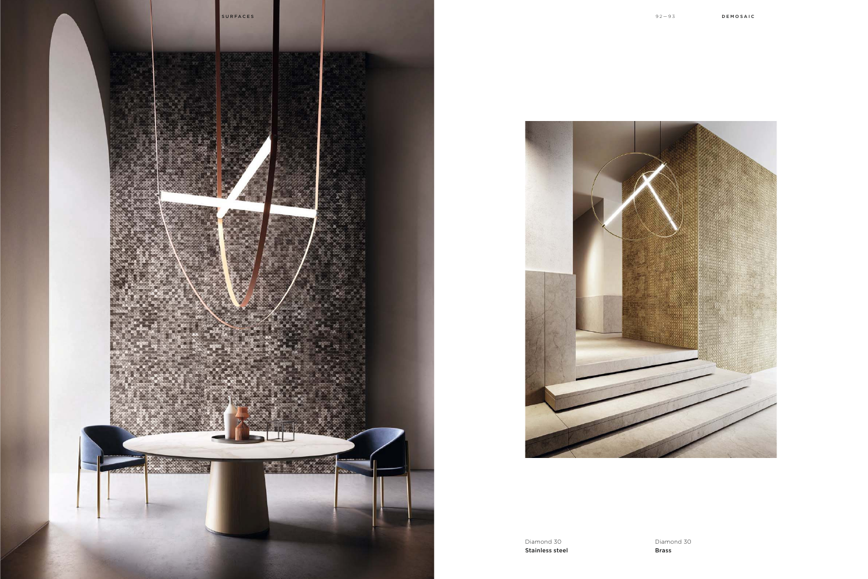



Diamond 30 Stainless steel Diamond 30 Brass